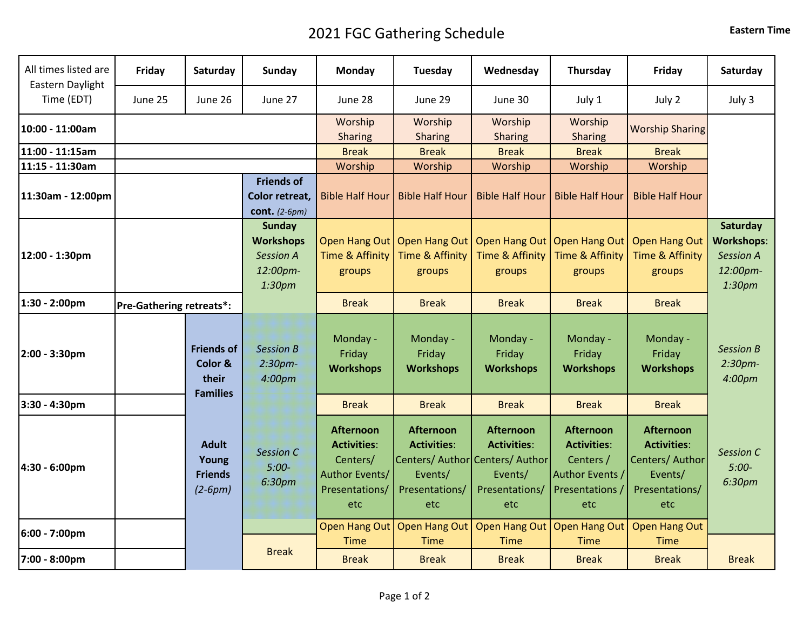## 2021 FGC Gathering Schedule **Eastern Time**

| All times listed are<br>Eastern Daylight | Friday  | Saturday                                             | Sunday                                                                                  | Monday                                                                                        | Tuesday                                                                    | Wednesday                                                                                                     | Thursday                                                                                         | Friday                                                                                        | Saturday                                                                |
|------------------------------------------|---------|------------------------------------------------------|-----------------------------------------------------------------------------------------|-----------------------------------------------------------------------------------------------|----------------------------------------------------------------------------|---------------------------------------------------------------------------------------------------------------|--------------------------------------------------------------------------------------------------|-----------------------------------------------------------------------------------------------|-------------------------------------------------------------------------|
| Time (EDT)                               | June 25 | June 26                                              | June 27                                                                                 | June 28                                                                                       | June 29                                                                    | June 30                                                                                                       | July 1                                                                                           | July 2                                                                                        | July 3                                                                  |
| 10:00 - 11:00am                          |         |                                                      |                                                                                         | Worship<br><b>Sharing</b>                                                                     | Worship<br><b>Sharing</b>                                                  | Worship<br><b>Sharing</b>                                                                                     | Worship<br><b>Sharing</b>                                                                        | <b>Worship Sharing</b>                                                                        |                                                                         |
| 11:00 - 11:15am                          |         |                                                      |                                                                                         | <b>Break</b>                                                                                  | <b>Break</b>                                                               | <b>Break</b>                                                                                                  | <b>Break</b>                                                                                     | <b>Break</b>                                                                                  |                                                                         |
| 11:15 - 11:30am                          |         |                                                      |                                                                                         | Worship                                                                                       | Worship                                                                    | Worship                                                                                                       | Worship                                                                                          | Worship                                                                                       |                                                                         |
| 11:30am - 12:00pm                        |         |                                                      | <b>Friends of</b><br>Color retreat,<br>cont. $(2-6pm)$                                  | <b>Bible Half Hour</b>                                                                        | <b>Bible Half Hour</b>                                                     | <b>Bible Half Hour</b>                                                                                        | <b>Bible Half Hour</b>                                                                           | <b>Bible Half Hour</b>                                                                        |                                                                         |
| 12:00 - 1:30pm                           |         |                                                      | <b>Sunday</b><br><b>Workshops</b><br><b>Session A</b><br>12:00pm-<br>1:30 <sub>pm</sub> | Open Hang Out<br><b>Time &amp; Affinity</b><br>groups                                         | Open Hang Out<br>Time & Affinity<br>groups                                 | Open Hang Out<br><b>Time &amp; Affinity</b><br>groups                                                         | <b>Open Hang Out</b><br>Time & Affinity<br>groups                                                | <b>Open Hang Out</b><br><b>Time &amp; Affinity</b><br>groups                                  | Saturday<br><b>Workshops:</b><br><b>Session A</b><br>12:00pm-<br>1:30pm |
| 1:30 - 2:00pm                            |         | <b>Pre-Gathering retreats*:</b>                      |                                                                                         | <b>Break</b>                                                                                  | <b>Break</b>                                                               | <b>Break</b>                                                                                                  | <b>Break</b>                                                                                     | <b>Break</b>                                                                                  |                                                                         |
| 2:00 - 3:30pm                            |         | <b>Friends of</b><br>Color &<br>their                | <b>Session B</b><br>2:30pm-<br>4:00pm                                                   | Monday -<br>Friday<br><b>Workshops</b>                                                        | Monday -<br>Friday<br><b>Workshops</b>                                     | Monday -<br>Friday<br><b>Workshops</b>                                                                        | Monday -<br>Friday<br><b>Workshops</b>                                                           | Monday -<br>Friday<br><b>Workshops</b>                                                        | Session B<br>2:30pm-<br>4:00pm                                          |
| 3:30 - 4:30pm                            |         | <b>Families</b>                                      |                                                                                         | <b>Break</b>                                                                                  | <b>Break</b>                                                               | <b>Break</b>                                                                                                  | <b>Break</b>                                                                                     | <b>Break</b>                                                                                  |                                                                         |
| 4:30 - 6:00pm                            |         | <b>Adult</b><br>Young<br><b>Friends</b><br>$(2-6pm)$ | <b>Session C</b><br>$5:00-$<br>6:30pm                                                   | <b>Afternoon</b><br><b>Activities:</b><br>Centers/<br>Author Events/<br>Presentations/<br>etc | <b>Afternoon</b><br><b>Activities:</b><br>Events/<br>Presentations/<br>etc | <b>Afternoon</b><br><b>Activities:</b><br>Centers/ Author Centers/ Author<br>Events/<br>Presentations/<br>etc | <b>Afternoon</b><br><b>Activities:</b><br>Centers /<br>Author Events /<br>Presentations /<br>etc | <b>Afternoon</b><br><b>Activities:</b><br>Centers/ Author<br>Events/<br>Presentations/<br>etc | Session C<br>$5:00-$<br>6:30pm                                          |
| 6:00 - 7:00pm                            |         |                                                      |                                                                                         | <b>Open Hang Out</b><br><b>Time</b>                                                           | <b>Open Hang Out</b><br><b>Time</b>                                        | <b>Open Hang Out</b><br><b>Time</b>                                                                           | <b>Open Hang Out</b><br><b>Time</b>                                                              | <b>Open Hang Out</b><br><b>Time</b>                                                           |                                                                         |
| 7:00 - 8:00pm                            |         |                                                      | <b>Break</b>                                                                            | <b>Break</b>                                                                                  | <b>Break</b>                                                               | <b>Break</b>                                                                                                  | <b>Break</b>                                                                                     | <b>Break</b>                                                                                  | <b>Break</b>                                                            |